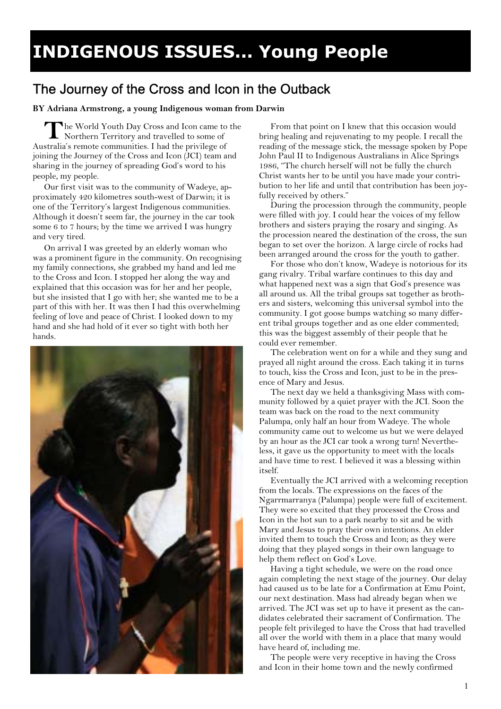# **INDIGENOUS ISSUES... Young People**

## The Journey of the Cross and Icon in the Outback

**BY Adriana Armstrong, a young Indigenous woman from Darwin** 

The World Youth Day Cross and Icon came to the Northern Territory and travelled to some of Australia's remote communities. I had the privilege of joining the Journey of the Cross and Icon (JCI) team and sharing in the journey of spreading God's word to his people, my people.

Our first visit was to the community of Wadeye, approximately 420 kilometres south-west of Darwin; it is one of the Territory's largest Indigenous communities. Although it doesn't seem far, the journey in the car took some 6 to 7 hours; by the time we arrived I was hungry and very tired.

On arrival I was greeted by an elderly woman who was a prominent figure in the community. On recognising my family connections, she grabbed my hand and led me to the Cross and Icon. I stopped her along the way and explained that this occasion was for her and her people, but she insisted that I go with her; she wanted me to be a part of this with her. It was then I had this overwhelming feeling of love and peace of Christ. I looked down to my hand and she had hold of it ever so tight with both her hands.



From that point on I knew that this occasion would bring healing and rejuvenating to my people. I recall the reading of the message stick, the message spoken by Pope John Paul II to Indigenous Australians in Alice Springs 1986, "The church herself will not be fully the church Christ wants her to be until you have made your contribution to her life and until that contribution has been joyfully received by others."

During the procession through the community, people were filled with joy. I could hear the voices of my fellow brothers and sisters praying the rosary and singing. As the procession neared the destination of the cross, the sun began to set over the horizon. A large circle of rocks had been arranged around the cross for the youth to gather.

For those who don't know, Wadeye is notorious for its gang rivalry. Tribal warfare continues to this day and what happened next was a sign that God's presence was all around us. All the tribal groups sat together as brothers and sisters, welcoming this universal symbol into the community. I got goose bumps watching so many different tribal groups together and as one elder commented; this was the biggest assembly of their people that he could ever remember.

The celebration went on for a while and they sung and prayed all night around the cross. Each taking it in turns to touch, kiss the Cross and Icon, just to be in the presence of Mary and Jesus.

The next day we held a thanksgiving Mass with community followed by a quiet prayer with the JCI. Soon the team was back on the road to the next community Palumpa, only half an hour from Wadeye. The whole community came out to welcome us but we were delayed by an hour as the JCI car took a wrong turn! Nevertheless, it gave us the opportunity to meet with the locals and have time to rest. I believed it was a blessing within itself.

Eventually the JCI arrived with a welcoming reception from the locals. The expressions on the faces of the Ngarrmarranya (Palumpa) people were full of excitement. They were so excited that they processed the Cross and Icon in the hot sun to a park nearby to sit and be with Mary and Jesus to pray their own intentions. An elder invited them to touch the Cross and Icon; as they were doing that they played songs in their own language to help them reflect on God's Love.

Having a tight schedule, we were on the road once again completing the next stage of the journey. Our delay had caused us to be late for a Confirmation at Emu Point, our next destination. Mass had already began when we arrived. The JCI was set up to have it present as the candidates celebrated their sacrament of Confirmation. The people felt privileged to have the Cross that had travelled all over the world with them in a place that many would have heard of, including me.

The people were very receptive in having the Cross and Icon in their home town and the newly confirmed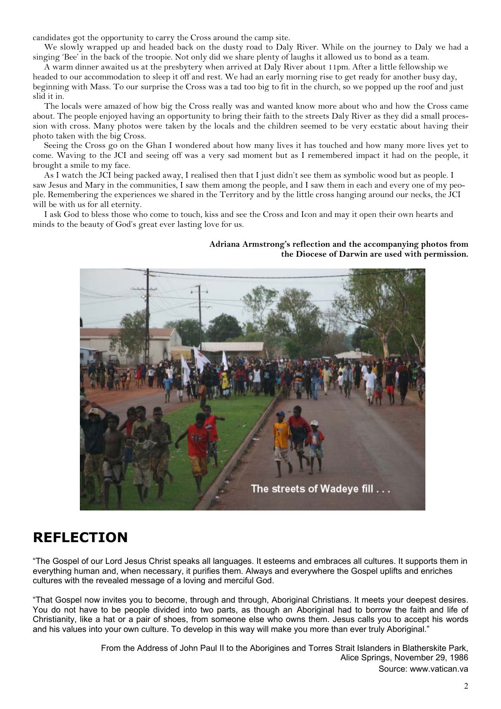candidates got the opportunity to carry the Cross around the camp site.

We slowly wrapped up and headed back on the dusty road to Daly River. While on the journey to Daly we had a singing 'Bee' in the back of the troopie. Not only did we share plenty of laughs it allowed us to bond as a team.

A warm dinner awaited us at the presbytery when arrived at Daly River about 11pm. After a little fellowship we headed to our accommodation to sleep it off and rest. We had an early morning rise to get ready for another busy day, beginning with Mass. To our surprise the Cross was a tad too big to fit in the church, so we popped up the roof and just slid it in.

The locals were amazed of how big the Cross really was and wanted know more about who and how the Cross came about. The people enjoyed having an opportunity to bring their faith to the streets Daly River as they did a small procession with cross. Many photos were taken by the locals and the children seemed to be very ecstatic about having their photo taken with the big Cross.

Seeing the Cross go on the Ghan I wondered about how many lives it has touched and how many more lives yet to come. Waving to the JCI and seeing off was a very sad moment but as I remembered impact it had on the people, it brought a smile to my face.

As I watch the JCI being packed away, I realised then that I just didn't see them as symbolic wood but as people. I saw Jesus and Mary in the communities, I saw them among the people, and I saw them in each and every one of my people. Remembering the experiences we shared in the Territory and by the little cross hanging around our necks, the JCI will be with us for all eternity.

I ask God to bless those who come to touch, kiss and see the Cross and Icon and may it open their own hearts and minds to the beauty of God's great ever lasting love for us.

#### **Adriana Armstrong's reflection and the accompanying photos from the Diocese of Darwin are used with permission.**



### **REFLECTION**

"The Gospel of our Lord Jesus Christ speaks all languages. It esteems and embraces all cultures. It supports them in everything human and, when necessary, it purifies them. Always and everywhere the Gospel uplifts and enriches cultures with the revealed message of a loving and merciful God.

"That Gospel now invites you to become, through and through, Aboriginal Christians. It meets your deepest desires. You do not have to be people divided into two parts, as though an Aboriginal had to borrow the faith and life of Christianity, like a hat or a pair of shoes, from someone else who owns them. Jesus calls you to accept his words and his values into your own culture. To develop in this way will make you more than ever truly Aboriginal."

> From the Address of John Paul II to the Aborigines and Torres Strait Islanders in Blatherskite Park, Alice Springs, November 29, 1986 Source: www.vatican.va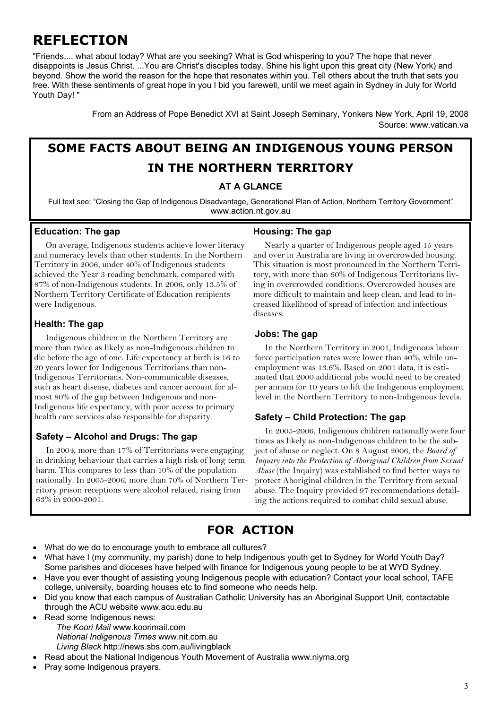## **REFLECTION**

"Friends,... what about today? What are you seeking? What is God whispering to you? The hope that never disappoints is Jesus Christ. ...You are Christ's disciples today. Shine his light upon this great city (New York) and beyond. Show the world the reason for the hope that resonates within you. Tell others about the truth that sets you free. With these sentiments of great hope in you I bid you farewell, until we meet again in Sydney in July for World Youth Day! "

> From an Address of Pope Benedict XVI at Saint Joseph Seminary, Yonkers New York, April 19, 2008 Source: www.vatican.va

## **SOME FACTS ABOUT BEING AN INDIGENOUS YOUNG PERSON IN THE NORTHERN TERRITORY**

#### **AT A GLANCE**

Full text see: "Closing the Gap of Indigenous Disadvantage, Generational Plan of Action, Northern Territory Government" www.action.nt.gov.au

#### **Education: The gap**

On average, Indigenous students achieve lower literacy and numeracy levels than other students. In the Northern Territory in 2006, under 40% of Indigenous students achieved the Year 3 reading benchmark, compared with 87% of non-Indigenous students. In 2006, only 13.5% of Northern Territory Certificate of Education recipients were Indigenous.

#### **Health: The gap**

Indigenous children in the Northern Territory are more than twice as likely as non-Indigenous children to die before the age of one. Life expectancy at birth is 16 to 20 years lower for Indigenous Territorians than non-Indigenous Territorians. Non-communicable diseases, such as heart disease, diabetes and cancer account for almost 80% of the gap between Indigenous and non-Indigenous life expectancy, with poor access to primary health care services also responsible for disparity.

#### **Safety – Alcohol and Drugs: The gap**

In 2004, more than 17% of Territorians were engaging in drinking behaviour that carries a high risk of long term harm. This compares to less than 10% of the population nationally. In 2005-2006, more than 70% of Northern Territory prison receptions were alcohol related, rising from 63% in 2000-2001.

#### **Housing: The gap**

Nearly a quarter of Indigenous people aged 15 years and over in Australia are living in overcrowded housing. This situation is most pronounced in the Northern Territory, with more than 60% of Indigenous Territorians living in overcrowded conditions. Overcrowded houses are more difficult to maintain and keep clean, and lead to increased likelihood of spread of infection and infectious diseases.

#### **Jobs: The gap**

In the Northern Territory in 2001, Indigenous labour force participation rates were lower than 40%, while unemployment was 13.6%. Based on 2001 data, it is estimated that 2000 additional jobs would need to be created per annum for 10 years to lift the Indigenous employment level in the Northern Territory to non-Indigenous levels.

#### **Safety – Child Protection: The gap**

In 2005-2006, Indigenous children nationally were four times as likely as non-Indigenous children to be the subject of abuse or neglect. On 8 August 2006, the *Board of Inquiry into the Protection of Aboriginal Children from Sexual Abuse* (the Inquiry) was established to find better ways to protect Aboriginal children in the Territory from sexual abuse. The Inquiry provided 97 recommendations detailing the actions required to combat child sexual abuse.

### **FOR ACTION**

- What do we do to encourage youth to embrace all cultures?
- What have I (my community, my parish) done to help Indigenous youth get to Sydney for World Youth Day? Some parishes and dioceses have helped with finance for Indigenous young people to be at WYD Sydney.
- Have you ever thought of assisting young Indigenous people with education? Contact your local school, TAFE college, university, boarding houses etc to find someone who needs help.
- Did you know that each campus of Australian Catholic University has an Aboriginal Support Unit, contactable through the ACU website www.acu.edu.au
- Read some Indigenous news: *The Koori Mail* www.koorimail.com *National Indigenous Times* www.nit.com.au *Living Black* http://news.sbs.com.au/livingblack
- Read about the National Indigenous Youth Movement of Australia www.niyma.org
- Pray some Indigenous prayers.